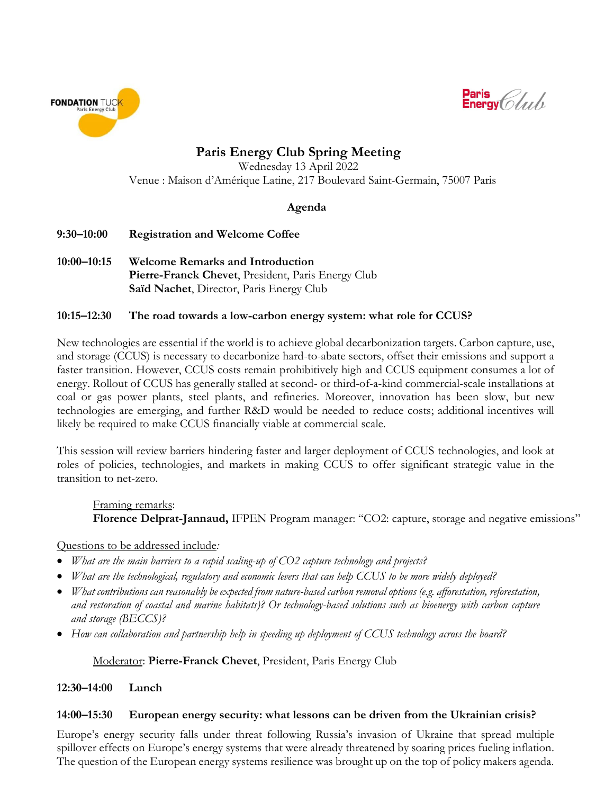



**Paris Energy Club Spring Meeting**

Wednesday 13 April 2022 Venue : Maison d'Amérique Latine, 217 Boulevard Saint-Germain, 75007 Paris

## **Agenda**

- **9:30–10:00 Registration and Welcome Coffee**
- **10:00–10:15 Welcome Remarks and Introduction Pierre-Franck Chevet**, President, Paris Energy Club **Saïd Nachet**, Director, Paris Energy Club

### **10:15–12:30 The road towards a low-carbon energy system: what role for CCUS?**

New technologies are essential if the world is to achieve global decarbonization targets. Carbon capture, use, and storage (CCUS) is necessary to decarbonize hard-to-abate sectors, offset their emissions and support a faster transition. However, CCUS costs remain prohibitively high and CCUS equipment consumes a lot of energy. Rollout of CCUS has generally stalled at second- or third-of-a-kind commercial-scale installations at coal or gas power plants, steel plants, and refineries. Moreover, innovation has been slow, but new technologies are emerging, and further R&D would be needed to reduce costs; additional incentives will likely be required to make CCUS financially viable at commercial scale.

This session will review barriers hindering faster and larger deployment of CCUS technologies, and look at roles of policies, technologies, and markets in making CCUS to offer significant strategic value in the transition to net-zero.

Framing remarks: **Florence Delprat-Jannaud,** IFPEN Program manager: "CO2: capture, storage and negative emissions"

#### Questions to be addressed include*:*

- *What are the main barriers to a rapid scaling-up of CO2 capture technology and projects?*
- *What are the technological, regulatory and economic levers that can help CCUS to be more widely deployed?*
- *What contributions can reasonably be expected from nature-based carbon removal options (e.g. afforestation, reforestation, and restoration of coastal and marine habitats)? Or technology-based solutions such as bioenergy with carbon capture and storage (BECCS)?*
- *How can collaboration and partnership help in speeding up deployment of CCUS technology across the board?*

## Moderator: **Pierre-Franck Chevet**, President, Paris Energy Club

## **12:30–14:00 Lunch**

#### **14:00–15:30 European energy security: what lessons can be driven from the Ukrainian crisis?**

Europe's energy security falls under threat following Russia's invasion of Ukraine that spread multiple spillover effects on Europe's energy systems that were already threatened by soaring prices fueling inflation. The question of the European energy systems resilience was brought up on the top of policy makers agenda.